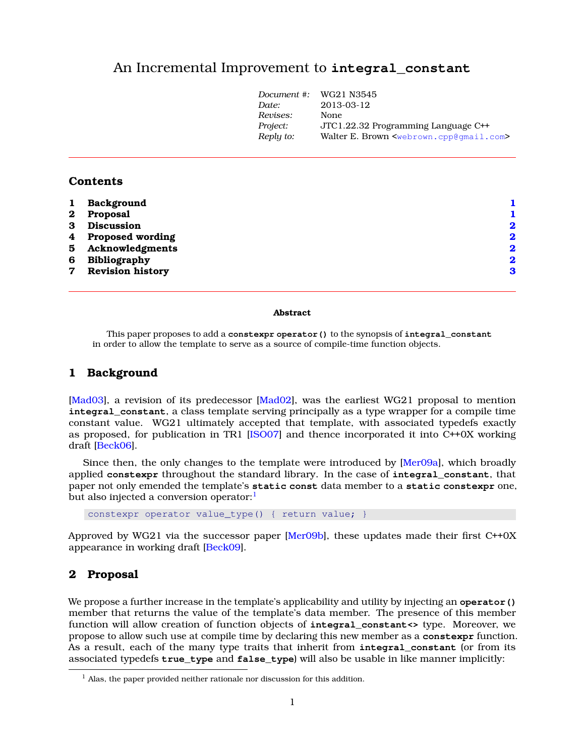# An Incremental Improvement to **integral\_constant**

| Document #: | WG21 N3545                                                      |
|-------------|-----------------------------------------------------------------|
| Date:       | 2013-03-12                                                      |
| Revises:    | None                                                            |
| Project:    | JTC1.22.32 Programming Language C++                             |
| Reply to:   | Walter E. Brown <webrown.cpp@qmail.com></webrown.cpp@qmail.com> |
|             |                                                                 |

#### **Contents**

| $\mathbf{1}$    | Background              |             |
|-----------------|-------------------------|-------------|
| $\bf{2}$        | Proposal                |             |
| 3               | <b>Discussion</b>       | 2           |
|                 | 4 Proposed wording      | $\mathbf 2$ |
|                 | 5 Acknowledgments       | $\mathbf 2$ |
| 6               | <b>Bibliography</b>     | $\mathbf 2$ |
| $7\overline{ }$ | <b>Revision history</b> | 3           |
|                 |                         |             |

#### **Abstract**

This paper proposes to add a **constexpr operator()** to the synopsis of **integral\_constant** in order to allow the template to serve as a source of compile-time function objects.

### <span id="page-0-0"></span>**1 Background**

[\[Mad03\]](#page-2-1), a revision of its predecessor [\[Mad02\]](#page-2-2), was the earliest WG21 proposal to mention **integral\_constant**, a class template serving principally as a type wrapper for a compile time constant value. WG21 ultimately accepted that template, with associated typedefs exactly as proposed, for publication in TR1 [\[ISO07\]](#page-2-3) and thence incorporated it into C++0X working draft [\[Beck06\]](#page-1-4).

Since then, the only changes to the template were introduced by [\[Mer09a\]](#page-2-4), which broadly applied **constexpr** throughout the standard library. In the case of **integral\_constant**, that paper not only emended the template's **static const** data member to a **static constexpr** one, but also injected a conversion operator: $<sup>1</sup>$  $<sup>1</sup>$  $<sup>1</sup>$ </sup>

constexpr operator value\_type() { return value; }

Approved by WG21 via the successor paper  $[Mer09b]$ , these updates made their first C++0X appearance in working draft [\[Beck09\]](#page-1-5).

#### <span id="page-0-1"></span>**2 Proposal**

We propose a further increase in the template's applicability and utility by injecting an **operator()** member that returns the value of the template's data member. The presence of this member function will allow creation of function objects of **integral\_constant<>** type. Moreover, we propose to allow such use at compile time by declaring this new member as a **constexpr** function. As a result, each of the many type traits that inherit from **integral\_constant** (or from its associated typedefs **true\_type** and **false\_type**) will also be usable in like manner implicitly:

<span id="page-0-2"></span><sup>&</sup>lt;sup>1</sup> Alas, the paper provided neither rationale nor discussion for this addition.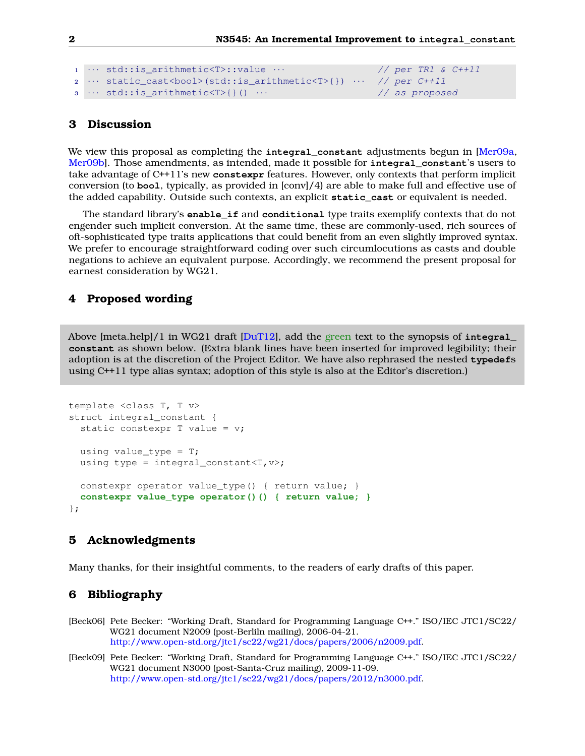```
1 ··· std::is_arithmetic<T>::value ··· // per TR1 & C++11
2 \cdots static_cast<br/>kool>(std::is_arithmetic<T>{}) \cdots // per C++11
3 · · · std::is arithmetic<T>{}() · · · // as proposed
```
### <span id="page-1-0"></span>**3 Discussion**

We view this proposal as completing the **integral\_constant** adjustments begun in [\[Mer09a,](#page-2-4) [Mer09b\]](#page-2-5). Those amendments, as intended, made it possible for **integral\_constant**'s users to take advantage of C++11's new **constexpr** features. However, only contexts that perform implicit conversion (to **bool**, typically, as provided in [conv]/4) are able to make full and effective use of the added capability. Outside such contexts, an explicit **static\_cast** or equivalent is needed.

The standard library's **enable\_if** and **conditional** type traits exemplify contexts that do not engender such implicit conversion. At the same time, these are commonly-used, rich sources of oft-sophisticated type traits applications that could benefit from an even slightly improved syntax. We prefer to encourage straightforward coding over such circumlocutions as casts and double negations to achieve an equivalent purpose. Accordingly, we recommend the present proposal for earnest consideration by WG21.

## <span id="page-1-1"></span>**4 Proposed wording**

Above [meta.help]/1 in WG21 draft [\[DuT12\]](#page-2-6), add the green text to the synopsis of **integral\_ constant** as shown below. (Extra blank lines have been inserted for improved legibility; their adoption is at the discretion of the Project Editor. We have also rephrased the nested **typedef**s using C++11 type alias syntax; adoption of this style is also at the Editor's discretion.)

```
template <class T, T v>
struct integral_constant {
  static constexpr T value = v;
 using value_type = T;
  using type = integral_constant<T, v;
  constexpr operator value_type() { return value; }
  constexpr value_type operator()() { return value; }
};
```
### <span id="page-1-2"></span>**5 Acknowledgments**

<span id="page-1-3"></span>Many thanks, for their insightful comments, to the readers of early drafts of this paper.

# **6 Bibliography**

- <span id="page-1-4"></span>[Beck06] Pete Becker: "Working Draft, Standard for Programming Language C++." ISO/IEC JTC1/SC22/ WG21 document N2009 (post-Berliln mailing), 2006-04-21. [http://www.open-std.org/jtc1/sc22/wg21/docs/papers/2006/n2009.pdf.](http://www.open-std.org/jtc1/sc22/wg21/docs/papers/2006/n2009.pdf)
- <span id="page-1-5"></span>[Beck09] Pete Becker: "Working Draft, Standard for Programming Language C++." ISO/IEC JTC1/SC22/ WG21 document N3000 (post-Santa-Cruz mailing), 2009-11-09. [http://www.open-std.org/jtc1/sc22/wg21/docs/papers/2012/n3000.pdf.](http://www.open-std.org/jtc1/sc22/wg21/docs/papers/2012/n3000.pdf)